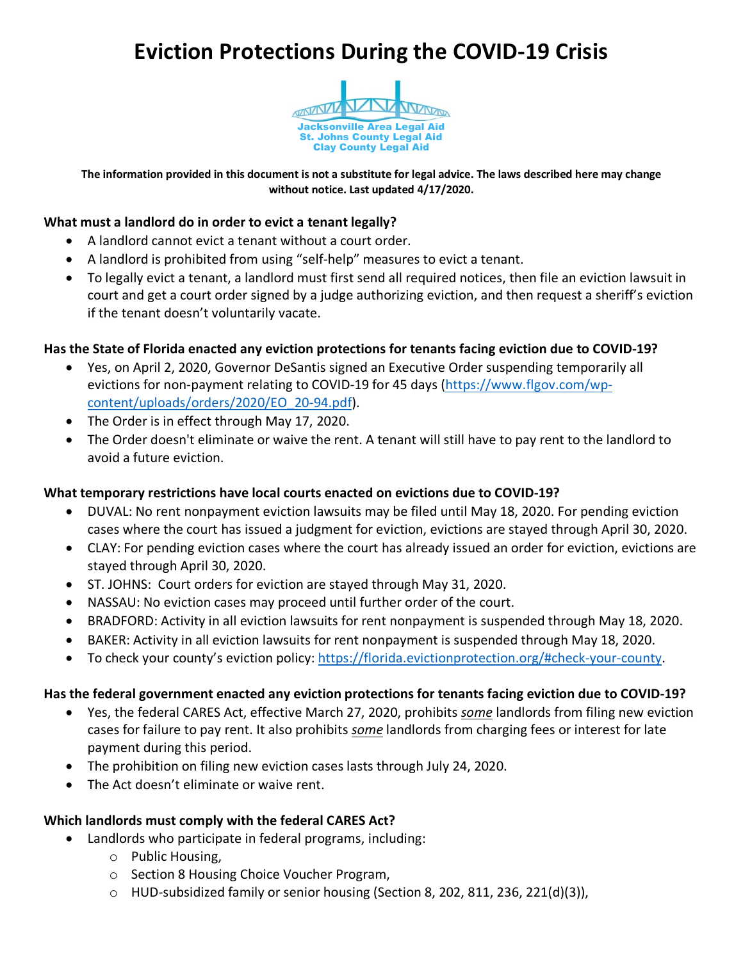# **Eviction Protections During the COVID-19 Crisis**



**The information provided in this document is not a substitute for legal advice. The laws described here may change without notice. Last updated 4/17/2020.**

#### **What must a landlord do in order to evict a tenant legally?**

- A landlord cannot evict a tenant without a court order.
- A landlord is prohibited from using "self-help" measures to evict a tenant.
- To legally evict a tenant, a landlord must first send all required notices, then file an eviction lawsuit in court and get a court order signed by a judge authorizing eviction, and then request a sheriff's eviction if the tenant doesn't voluntarily vacate.

## **Has the State of Florida enacted any eviction protections for tenants facing eviction due to COVID-19?**

- Yes, on April 2, 2020, Governor DeSantis signed an Executive Order suspending temporarily all evictions for non-payment relating to COVID-19 for 45 days (https://www.flgov.com/wpcontent/uploads/orders/2020/EO\_20-94.pdf).
- The Order is in effect through May 17, 2020.
- The Order doesn't eliminate or waive the rent. A tenant will still have to pay rent to the landlord to avoid a future eviction.

# **What temporary restrictions have local courts enacted on evictions due to COVID-19?**

- DUVAL: No rent nonpayment eviction lawsuits may be filed until May 18, 2020. For pending eviction cases where the court has issued a judgment for eviction, evictions are stayed through April 30, 2020.
- CLAY: For pending eviction cases where the court has already issued an order for eviction, evictions are stayed through April 30, 2020.
- ST. JOHNS: Court orders for eviction are stayed through May 31, 2020.
- NASSAU: No eviction cases may proceed until further order of the court.
- BRADFORD: Activity in all eviction lawsuits for rent nonpayment is suspended through May 18, 2020.
- BAKER: Activity in all eviction lawsuits for rent nonpayment is suspended through May 18, 2020.
- To check your county's eviction policy: https://florida.evictionprotection.org/#check-your-county.

#### **Has the federal government enacted any eviction protections for tenants facing eviction due to COVID-19?**

- Yes, the federal CARES Act, effective March 27, 2020, prohibits *some* landlords from filing new eviction cases for failure to pay rent. It also prohibits *some* landlords from charging fees or interest for late payment during this period.
- The prohibition on filing new eviction cases lasts through July 24, 2020.
- The Act doesn't eliminate or waive rent.

#### **Which landlords must comply with the federal CARES Act?**

- Landlords who participate in federal programs, including:
	- o Public Housing,
	- o Section 8 Housing Choice Voucher Program,
	- $\circ$  HUD-subsidized family or senior housing (Section 8, 202, 811, 236, 221(d)(3)),